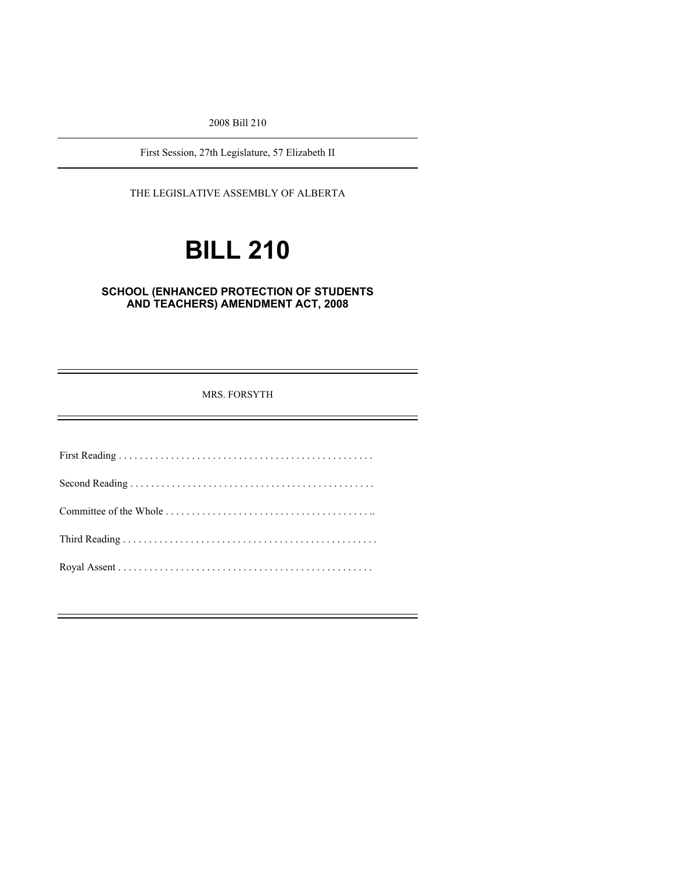2008 Bill 210

First Session, 27th Legislature, 57 Elizabeth II

THE LEGISLATIVE ASSEMBLY OF ALBERTA

# **BILL 210**

## **SCHOOL (ENHANCED PROTECTION OF STUDENTS AND TEACHERS) AMENDMENT ACT, 2008**

MRS. FORSYTH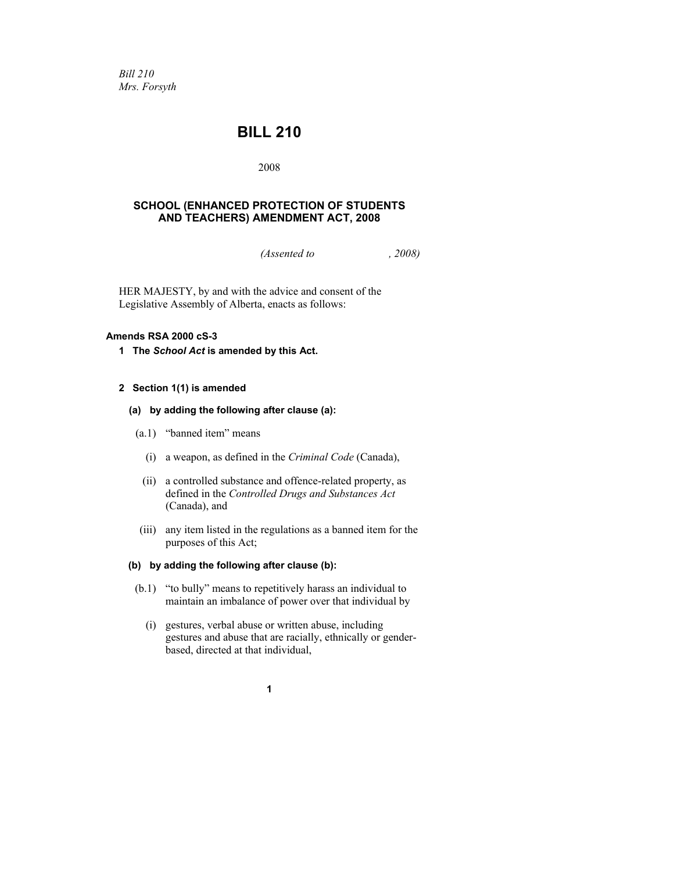*Bill 210 Mrs. Forsyth* 

# **BILL 210**

2008

## **SCHOOL (ENHANCED PROTECTION OF STUDENTS AND TEACHERS) AMENDMENT ACT, 2008**

*(Assented to , 2008)* 

HER MAJESTY, by and with the advice and consent of the Legislative Assembly of Alberta, enacts as follows:

#### **Amends RSA 2000 cS-3**

**1 The** *School Act* **is amended by this Act.** 

#### **2 Section 1(1) is amended**

- **(a) by adding the following after clause (a):** 
	- (a.1) "banned item" means
		- (i) a weapon, as defined in the *Criminal Code* (Canada),
		- (ii) a controlled substance and offence-related property, as defined in the *Controlled Drugs and Substances Act* (Canada), and
		- (iii) any item listed in the regulations as a banned item for the purposes of this Act;

#### **(b) by adding the following after clause (b):**

- (b.1) "to bully" means to repetitively harass an individual to maintain an imbalance of power over that individual by
	- (i) gestures, verbal abuse or written abuse, including gestures and abuse that are racially, ethnically or genderbased, directed at that individual,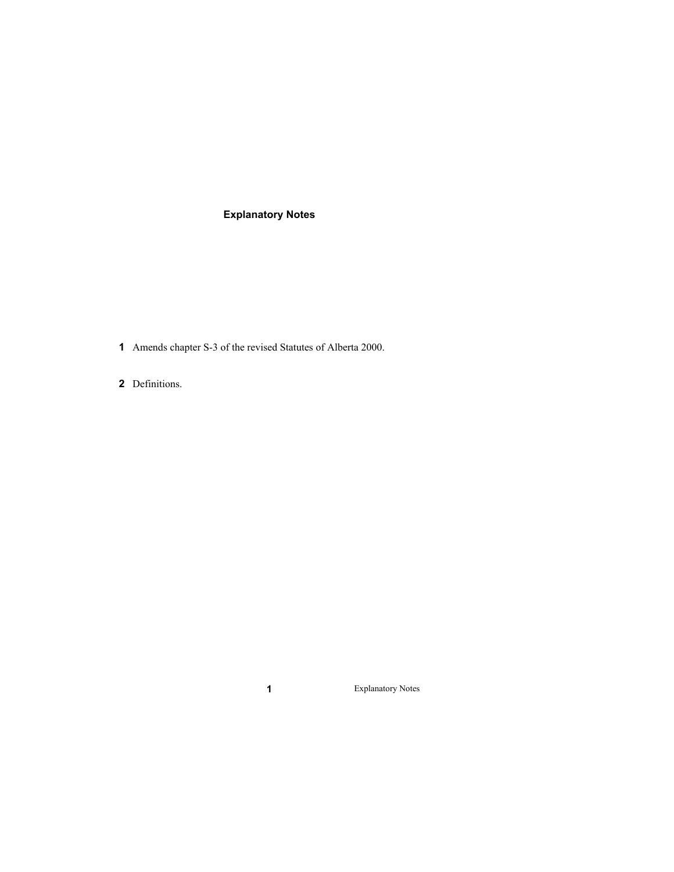# **Explanatory Notes**

- Amends chapter S-3 of the revised Statutes of Alberta 2000.
- Definitions.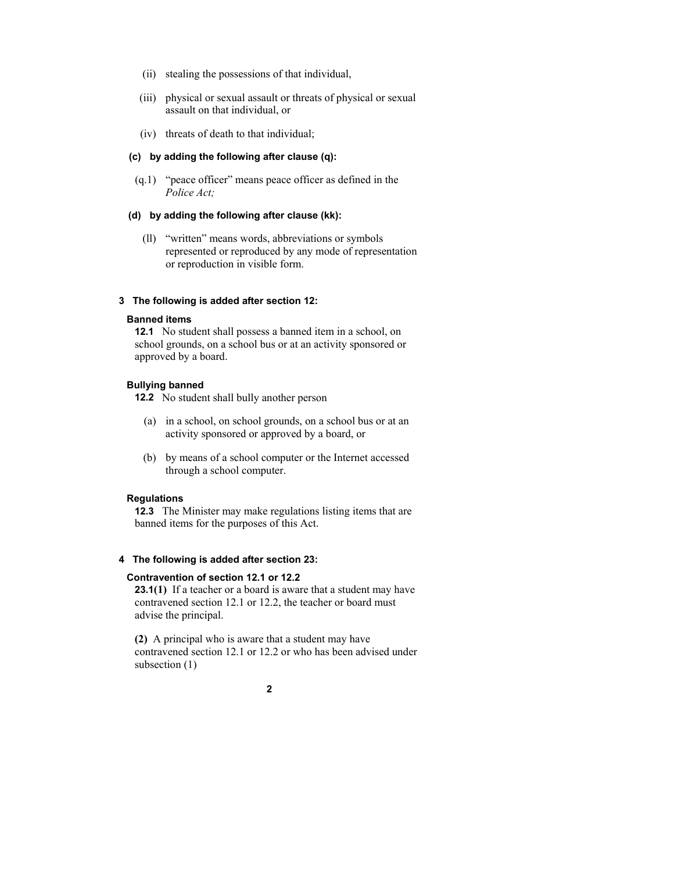- (ii) stealing the possessions of that individual,
- (iii) physical or sexual assault or threats of physical or sexual assault on that individual, or
- (iv) threats of death to that individual;

#### **(c) by adding the following after clause (q):**

 (q.1) "peace officer" means peace officer as defined in the *Police Act;* 

#### **(d) by adding the following after clause (kk):**

 (ll) "written" means words, abbreviations or symbols represented or reproduced by any mode of representation or reproduction in visible form.

#### **3 The following is added after section 12:**

#### **Banned items**

**12.1** No student shall possess a banned item in a school, on school grounds, on a school bus or at an activity sponsored or approved by a board.

#### **Bullying banned**

**12.2** No student shall bully another person

- (a) in a school, on school grounds, on a school bus or at an activity sponsored or approved by a board, or
- (b) by means of a school computer or the Internet accessed through a school computer.

#### **Regulations**

**12.3** The Minister may make regulations listing items that are banned items for the purposes of this Act.

#### **4 The following is added after section 23:**

#### **Contravention of section 12.1 or 12.2**

**23.1(1)** If a teacher or a board is aware that a student may have contravened section 12.1 or 12.2, the teacher or board must advise the principal.

**(2)** A principal who is aware that a student may have contravened section 12.1 or 12.2 or who has been advised under subsection (1)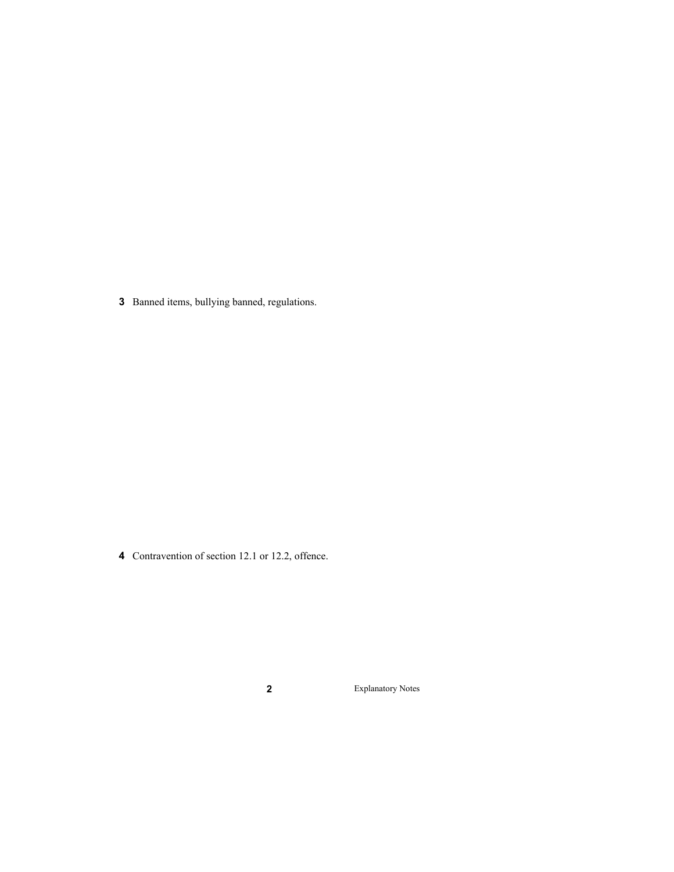Banned items, bullying banned, regulations.

Contravention of section 12.1 or 12.2, offence.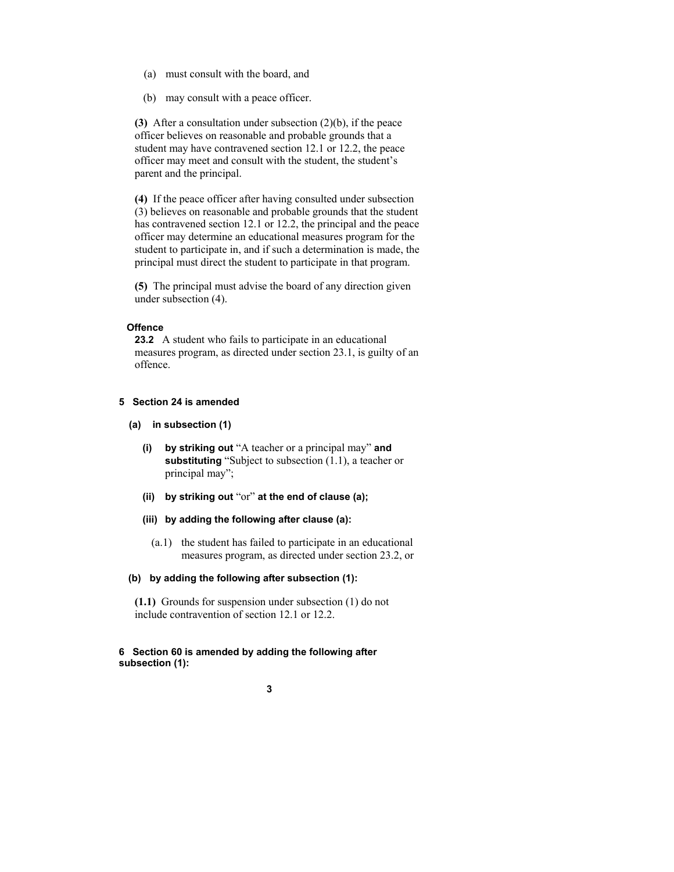- (a) must consult with the board, and
- (b) may consult with a peace officer.

**(3)** After a consultation under subsection (2)(b), if the peace officer believes on reasonable and probable grounds that a student may have contravened section 12.1 or 12.2, the peace officer may meet and consult with the student, the student's parent and the principal.

**(4)** If the peace officer after having consulted under subsection (3) believes on reasonable and probable grounds that the student has contravened section 12.1 or 12.2, the principal and the peace officer may determine an educational measures program for the student to participate in, and if such a determination is made, the principal must direct the student to participate in that program.

**(5)** The principal must advise the board of any direction given under subsection (4).

#### **Offence**

**23.2** A student who fails to participate in an educational measures program, as directed under section 23.1, is guilty of an offence.

#### **5 Section 24 is amended**

- **(a) in subsection (1)** 
	- **(i) by striking out** "A teacher or a principal may" **and substituting** "Subject to subsection (1.1), a teacher or principal may";
	- **(ii) by striking out** "or" **at the end of clause (a);**
	- **(iii) by adding the following after clause (a):** 
		- (a.1) the student has failed to participate in an educational measures program, as directed under section 23.2, or

#### **(b) by adding the following after subsection (1):**

**(1.1)** Grounds for suspension under subsection (1) do not include contravention of section 12.1 or 12.2.

#### **6 Section 60 is amended by adding the following after subsection (1):**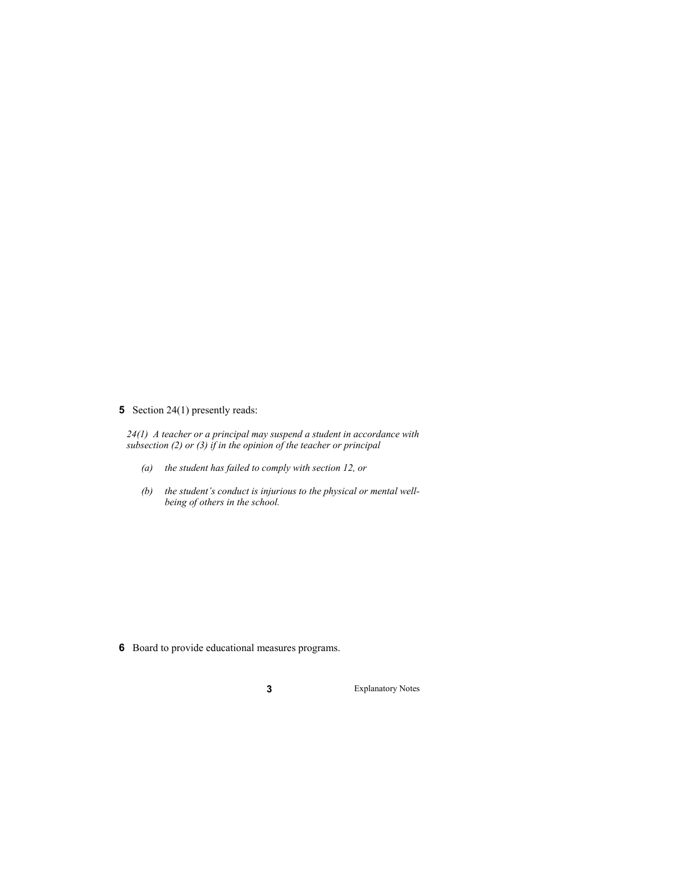### **5** Section 24(1) presently reads:

*24(1) A teacher or a principal may suspend a student in accordance with subsection (2) or (3) if in the opinion of the teacher or principal* 

- *(a) the student has failed to comply with section 12, or*
- *(b) the student's conduct is injurious to the physical or mental wellbeing of others in the school.*

**6** Board to provide educational measures programs.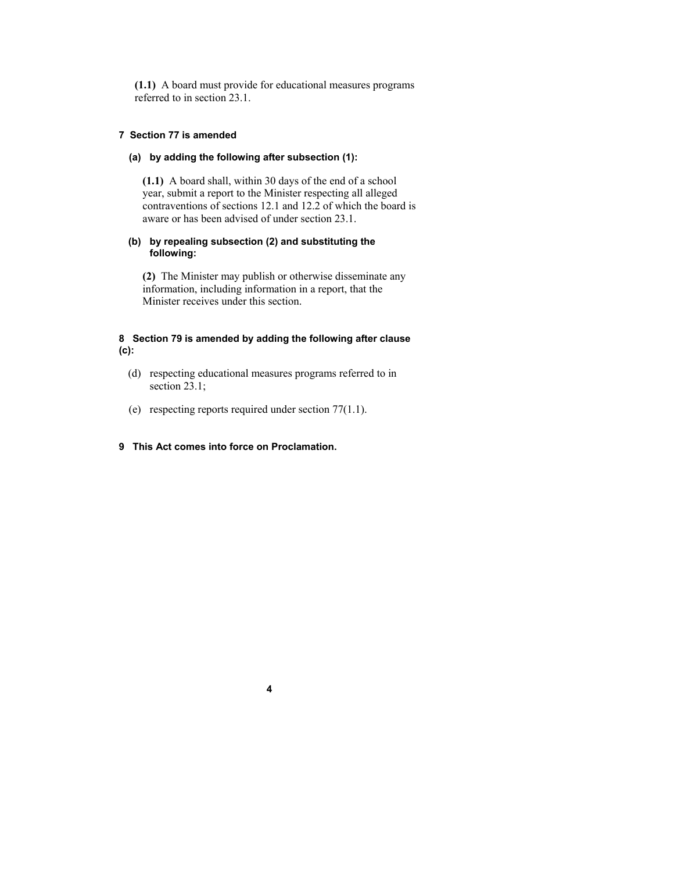**(1.1)** A board must provide for educational measures programs referred to in section 23.1.

#### **7 Section 77 is amended**

#### **(a) by adding the following after subsection (1):**

**(1.1)** A board shall, within 30 days of the end of a school year, submit a report to the Minister respecting all alleged contraventions of sections 12.1 and 12.2 of which the board is aware or has been advised of under section 23.1.

#### **(b) by repealing subsection (2) and substituting the following:**

**(2)** The Minister may publish or otherwise disseminate any information, including information in a report, that the Minister receives under this section.

#### **8 Section 79 is amended by adding the following after clause (c):**

- (d) respecting educational measures programs referred to in section 23.1:
- (e) respecting reports required under section 77(1.1).

#### **9 This Act comes into force on Proclamation.**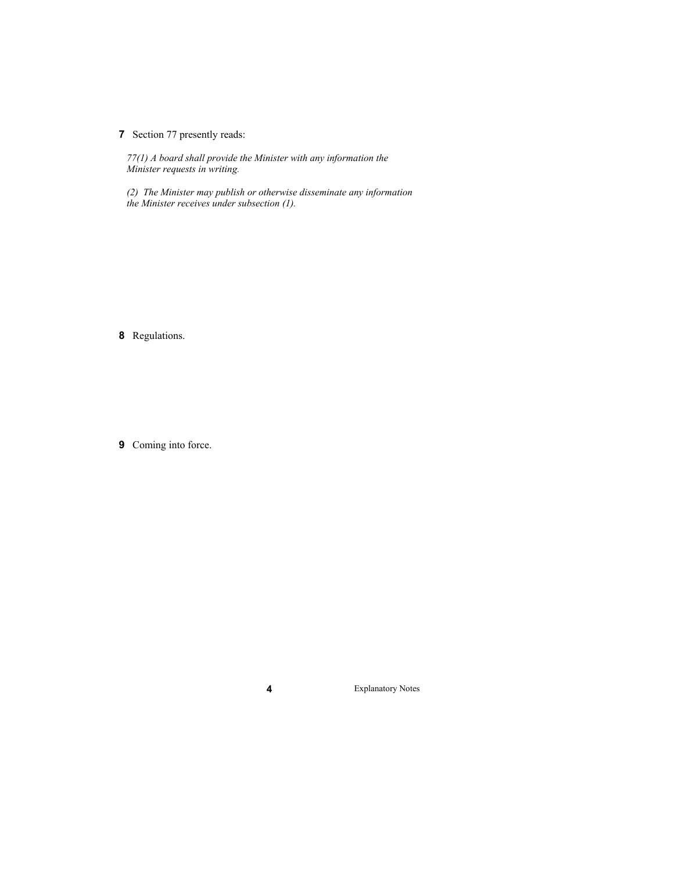**7** Section 77 presently reads:

*77(1) A board shall provide the Minister with any information the Minister requests in writing.* 

*(2) The Minister may publish or otherwise disseminate any information the Minister receives under subsection (1).* 

**8** Regulations.

**9** Coming into force.